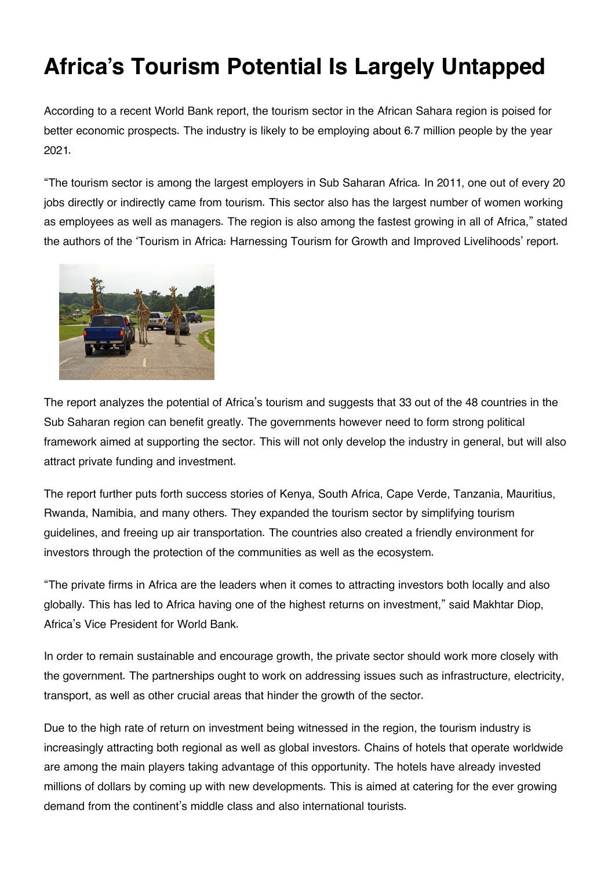## **Africa's Tourism Potential Is Largely Untapped**

According to a recent World Bank report, the tourism sector in the African Sahara region is poised for better economic prospects. The industry is likely to be employing about 6.7 million people by the year 2021.

"The tourism sector is among the largest employers in Sub Saharan Africa. In 2011, one out of every 20 jobs directly or indirectly came from tourism. This sector also has the largest number of women working as employees as well as managers. The region is also among the fastest growing in all of Africa," stated the authors of the 'Tourism in Africa: Harnessing Tourism for Growth and Improved Livelihoods' report.



The report analyzes the potential of Africa's tourism and suggests that 33 out of the 48 countries in the Sub Saharan region can benefit greatly. The governments however need to form strong political framework aimed at supporting the sector. This will not only develop the industry in general, but will also attract private funding and investment.

The report further puts forth success stories of Kenya, South Africa, Cape Verde, Tanzania, Mauritius, Rwanda, Namibia, and many others. They expanded the tourism sector by simplifying tourism guidelines, and freeing up air transportation. The countries also created a friendly environment for investors through the protection of the communities as well as the ecosystem.

"The private firms in Africa are the leaders when it comes to attracting investors both locally and also globally. This has led to Africa having one of the highest returns on investment," said Makhtar Diop, Africa's Vice President for World Bank.

In order to remain sustainable and encourage growth, the private sector should work more closely with the government. The partnerships ought to work on addressing issues such as infrastructure, electricity, transport, as well as other crucial areas that hinder the growth of the sector.

Due to the high rate of return on investment being witnessed in the region, the tourism industry is increasingly attracting both regional as well as global investors. Chains of hotels that operate worldwide are among the main players taking advantage of this opportunity. The hotels have already invested millions of dollars by coming up with new developments. This is aimed at catering for the ever growing demand from the continent's middle class and also international tourists.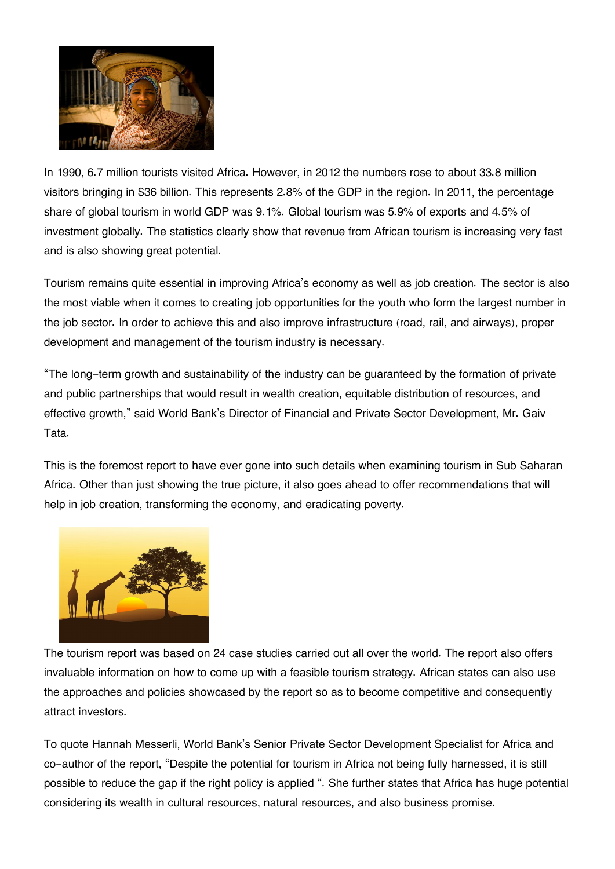

In 1990, 6.7 million tourists visited Africa. However, in 2012 the numbers rose to about 33.8 million visitors bringing in \$36 billion. This represents 2.8% of the GDP in the region. In 2011, the percentage share of global tourism in world GDP was 9.1%. Global tourism was 5.9% of exports and 4.5% of investment globally. The statistics clearly show that revenue from African tourism is increasing very fast and is also showing great potential.

Tourism remains quite essential in improving Africa's economy as well as job creation. The sector is also the most viable when it comes to creating job opportunities for the youth who form the largest number in the job sector. In order to achieve this and also improve infrastructure (road, rail, and airways), proper development and management of the tourism industry is necessary.

"The long-term growth and sustainability of the industry can be guaranteed by the formation of private and public partnerships that would result in wealth creation, equitable distribution of resources, and effective growth," said World Bank's Director of Financial and Private Sector Development, Mr. Gaiv Tata.

This is the foremost report to have ever gone into such details when examining tourism in Sub Saharan Africa. Other than just showing the true picture, it also goes ahead to offer recommendations that will help in job creation, transforming the economy, and eradicating poverty.



The tourism report was based on 24 case studies carried out all over the world. The report also offers invaluable information on how to come up with a feasible tourism strategy. African states can also use the approaches and policies showcased by the report so as to become competitive and consequently attract investors.

To quote Hannah Messerli, World Bank's Senior Private Sector Development Specialist for Africa and co-author of the report, "Despite the potential for tourism in Africa not being fully harnessed, it is still possible to reduce the gap if the right policy is applied ". She further states that Africa has huge potential considering its wealth in cultural resources, natural resources, and also business promise.